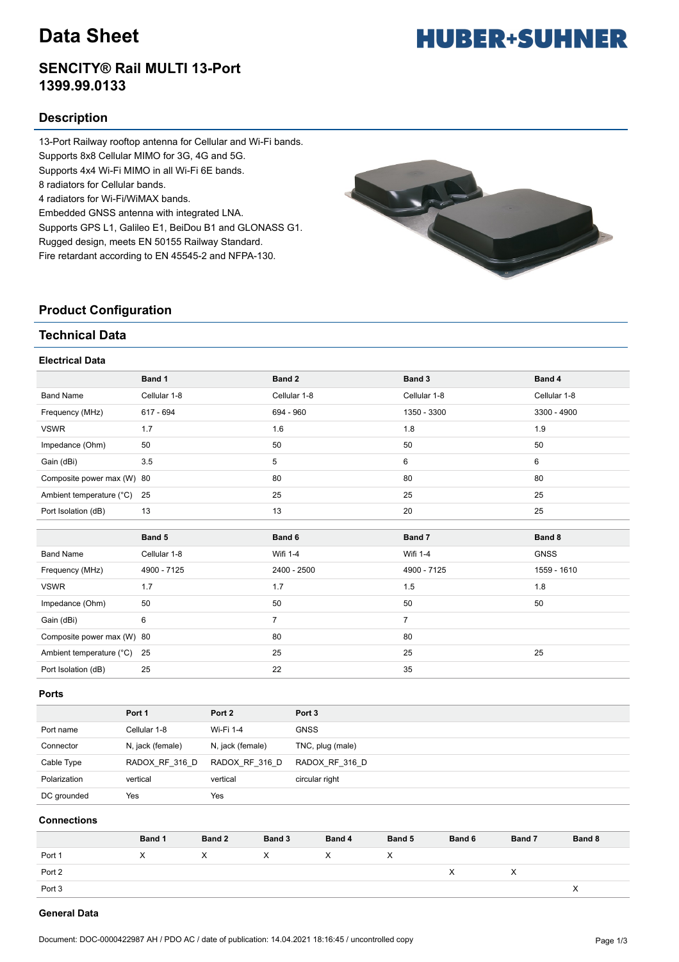# **Data Sheet**

### **SENCITY® Rail MULTI 13-Port 1399.99.0133**

#### **Description**

13-Port Railway rooftop antenna for Cellular and Wi-Fi bands. Supports 8x8 Cellular MIMO for 3G, 4G and 5G. Supports 4x4 Wi-Fi MIMO in all Wi-Fi 6E bands. 8 radiators for Cellular bands. 4 radiators for Wi-Fi/WiMAX bands. Embedded GNSS antenna with integrated LNA. Supports GPS L1, Galileo E1, BeiDou B1 and GLONASS G1. Rugged design, meets EN 50155 Railway Standard. Fire retardant according to EN 45545-2 and NFPA-130.



#### **Product Configuration**

#### **Technical Data**

#### **Electrical Data**

|                            | Band 1       | Band 2          | Band 3         | Band 4       |
|----------------------------|--------------|-----------------|----------------|--------------|
| <b>Band Name</b>           | Cellular 1-8 | Cellular 1-8    | Cellular 1-8   | Cellular 1-8 |
| Frequency (MHz)            | 617 - 694    | 694 - 960       | 1350 - 3300    | 3300 - 4900  |
| <b>VSWR</b>                | 1.7          | 1.6             | 1.8            | 1.9          |
| Impedance (Ohm)            | 50           | 50              | 50             | 50           |
| Gain (dBi)                 | 3.5          | 5               | 6              | 6            |
| Composite power max (W) 80 |              | 80              | 80             | 80           |
| Ambient temperature (°C)   | 25           | 25              | 25             | 25           |
| Port Isolation (dB)        | 13           | 13              | 20             | 25           |
|                            |              |                 |                |              |
|                            |              |                 |                |              |
|                            | Band 5       | Band 6          | Band 7         | Band 8       |
| <b>Band Name</b>           | Cellular 1-8 | <b>Wifi 1-4</b> | Wifi 1-4       | <b>GNSS</b>  |
| Frequency (MHz)            | 4900 - 7125  | 2400 - 2500     | 4900 - 7125    | 1559 - 1610  |
| <b>VSWR</b>                | 1.7          | 1.7             | 1.5            | 1.8          |
| Impedance (Ohm)            | 50           | 50              | 50             | 50           |
| Gain (dBi)                 | 6            | $\overline{7}$  | $\overline{7}$ |              |
| Composite power max (W) 80 |              | 80              | 80             |              |
| Ambient temperature (°C)   | 25           | 25              | 25             | 25           |

#### **Ports**

|              | Port 1           | Port 2           | Port 3           |
|--------------|------------------|------------------|------------------|
| Port name    | Cellular 1-8     | Wi-Fi 1-4        | <b>GNSS</b>      |
| Connector    | N, jack (female) | N, jack (female) | TNC, plug (male) |
| Cable Type   | RADOX RF 316 D   | RADOX RF 316 D   | RADOX RF 316 D   |
| Polarization | vertical         | vertical         | circular right   |
| DC grounded  | Yes              | Yes              |                  |

#### **Connections**

|        | Band 1 | Band 2 | Band 3 | Band 4       | <b>Band 5</b> | Band 6 | Band 7 | Band 8 |
|--------|--------|--------|--------|--------------|---------------|--------|--------|--------|
| Port 1 | X      | X.     | X.     | $\mathsf{X}$ | $\times$      |        |        |        |
| Port 2 |        |        |        |              |               | X      |        |        |
| Port 3 |        |        |        |              |               |        |        |        |
|        |        |        |        |              |               |        |        |        |

#### **General Data**

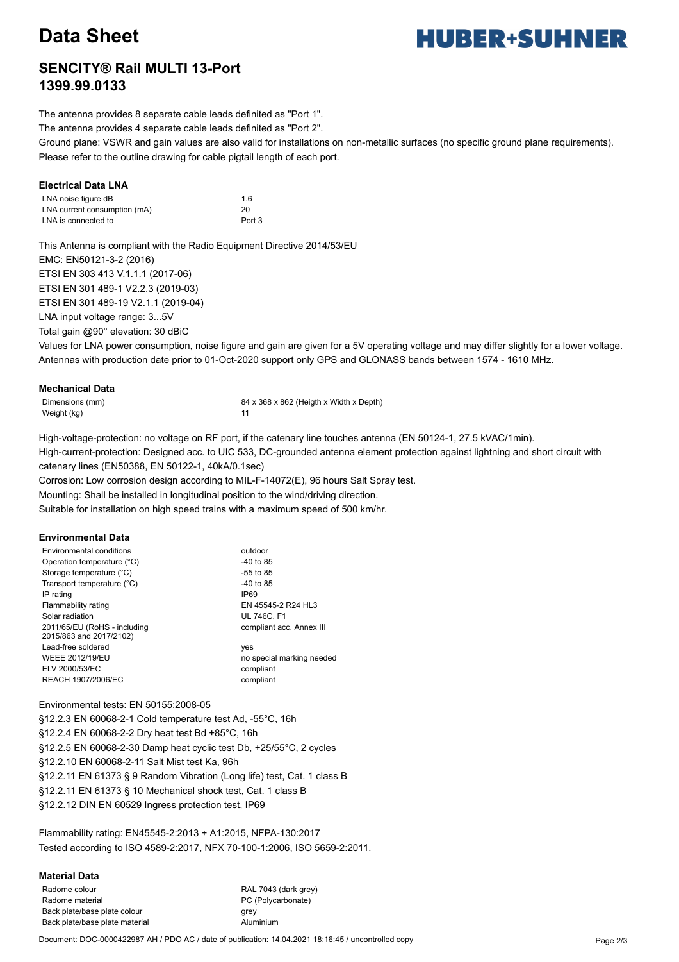# **Data Sheet**

# **HUBER+SUHNER**

### **SENCITY® Rail MULTI 13-Port 1399.99.0133**

The antenna provides 8 separate cable leads definited as "Port 1".

The antenna provides 4 separate cable leads definited as "Port 2".

Ground plane: VSWR and gain values are also valid for installations on non-metallic surfaces (no specific ground plane requirements). Please refer to the outline drawing for cable pigtail length of each port.

#### **Electrical Data LNA**

| LNA noise figure dB          | 1.6    |
|------------------------------|--------|
| LNA current consumption (mA) | 20     |
| LNA is connected to          | Port 3 |

This Antenna is compliant with the Radio Equipment Directive 2014/53/EU EMC: EN50121-3-2 (2016) ETSI EN 303 413 V.1.1.1 (2017-06) ETSI EN 301 489-1 V2.2.3 (2019-03) ETSI EN 301 489-19 V2.1.1 (2019-04) LNA input voltage range: 3...5V Total gain @90° elevation: 30 dBiC

Values for LNA power consumption, noise figure and gain are given for a 5V operating voltage and may differ slightly for a lower voltage. Antennas with production date prior to 01-Oct-2020 support only GPS and GLONASS bands between 1574 - 1610 MHz.

#### **Mechanical Data**

Weight (kg) 11

Dimensions (mm) 84 x 368 x 862 (Heigth x Width x Depth)

High-voltage-protection: no voltage on RF port, if the catenary line touches antenna (EN 50124-1, 27.5 kVAC/1min).

High-current-protection: Designed acc. to UIC 533, DC-grounded antenna element protection against lightning and short circuit with catenary lines (EN50388, EN 50122-1, 40kA/0.1sec)

Corrosion: Low corrosion design according to MIL-F-14072(E), 96 hours Salt Spray test.

Mounting: Shall be installed in longitudinal position to the wind/driving direction.

Suitable for installation on high speed trains with a maximum speed of 500 km/hr.

#### **Environmental Data**

| <b>Environmental conditions</b>                         | outdoor                   |
|---------------------------------------------------------|---------------------------|
| Operation temperature (°C)                              | -40 to 85                 |
| Storage temperature (°C)                                | $-55$ to 85               |
| Transport temperature (°C)                              | $-40$ to 85               |
| IP rating                                               | <b>IP69</b>               |
| Flammability rating                                     | EN 45545-2 R24 HL3        |
| Solar radiation                                         | <b>UL 746C. F1</b>        |
| 2011/65/EU (RoHS - including<br>2015/863 and 2017/2102) | compliant acc. Annex III  |
| Lead-free soldered                                      | yes                       |
| <b>WEEE 2012/19/EU</b>                                  | no special marking needed |
| ELV 2000/53/EC                                          | compliant                 |
| REACH 1907/2006/EC                                      | compliant                 |

Environmental tests: EN 50155:2008-05 §12.2.3 EN 60068-2-1 Cold temperature test Ad, -55°C, 16h §12.2.4 EN 60068-2-2 Dry heat test Bd +85°C, 16h §12.2.5 EN 60068-2-30 Damp heat cyclic test Db, +25/55°C, 2 cycles §12.2.10 EN 60068-2-11 Salt Mist test Ka, 96h §12.2.11 EN 61373 § 9 Random Vibration (Long life) test, Cat. 1 class B §12.2.11 EN 61373 § 10 Mechanical shock test, Cat. 1 class B §12.2.12 DIN EN 60529 Ingress protection test, IP69

Flammability rating: EN45545-2:2013 + A1:2015, NFPA-130:2017 Tested according to ISO 4589-2:2017, NFX 70-100-1:2006, ISO 5659-2:2011.

#### **Material Data**

Radome colour RAL 7043 (dark grey) Radome material example and the PC (Polycarbonate) Back plate/base plate colour grey grey Back plate/base plate material and aluminium

Document: DOC-0000422987 AH / PDO AC / date of publication: 14.04.2021 18:16:45 / uncontrolled copy Page 2/3